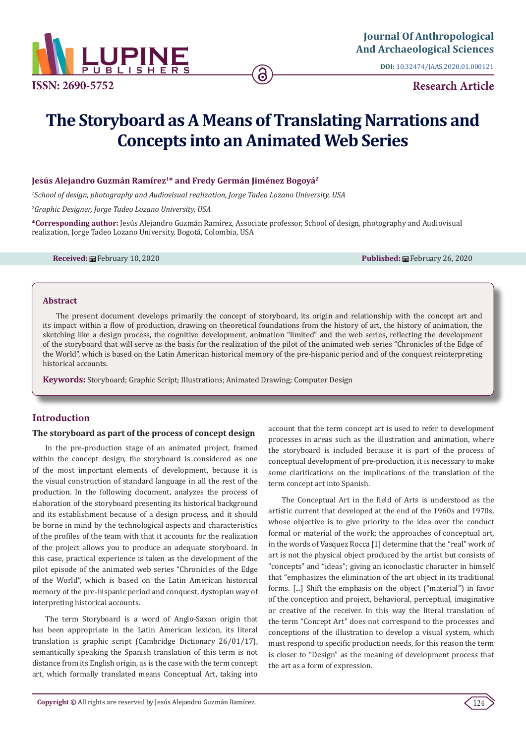

**DOI:** [10.32474/JAAS.2020.01.000121](http://dx.doi.org/10.32474/JAAS.2020.01.000121)

**Research Article**

# **The Storyboard as A Means of Translating Narrations and Concepts into an Animated Web Series**

#### **Jesús Alejandro Guzmán Ramírez1\* and Fredy Germán Jiménez Bogoyá2**

*1 School of design, photography and Audiovisual realization, Jorge Tadeo Lozano University, USA*

*2 Graphic Designer, Jorge Tadeo Lozano University, USA*

**\*Corresponding author:** Jesús Alejandro Guzmán Ramírez, Associate professor, School of design, photography and Audiovisual realization, Jorge Tadeo Lozano University, Bogotá, Colombia, USA

**Received:** February 10, 2020 **Published:** February 26, 2020

#### **Abstract**

The present document develops primarily the concept of storyboard, its origin and relationship with the concept art and its impact within a flow of production, drawing on theoretical foundations from the history of art, the history of animation, the sketching like a design process, the cognitive development, animation "limited" and the web series, reflecting the development of the storyboard that will serve as the basis for the realization of the pilot of the animated web series "Chronicles of the Edge of the World", which is based on the Latin American historical memory of the pre-hispanic period and of the conquest reinterpreting historical accounts.

**Keywords:** Storyboard; Graphic Script; Illustrations; Animated Drawing; Computer Design

## **Introduction**

#### **The storyboard as part of the process of concept design**

In the pre-production stage of an animated project, framed within the concept design, the storyboard is considered as one of the most important elements of development, because it is the visual construction of standard language in all the rest of the production. In the following document, analyzes the process of elaboration of the storyboard presenting its historical background and its establishment because of a design process, and it should be borne in mind by the technological aspects and characteristics of the profiles of the team with that it accounts for the realization of the project allows you to produce an adequate storyboard. In this case, practical experience is taken as the development of the pilot episode of the animated web series "Chronicles of the Edge of the World", which is based on the Latin American historical memory of the pre-hispanic period and conquest, dystopian way of interpreting historical accounts.

The term Storyboard is a word of Anglo-Saxon origin that has been appropriate in the Latin American lexicon, its literal translation is graphic script (Cambridge Dictionary 26/01/17), semantically speaking the Spanish translation of this term is not distance from its English origin, as is the case with the term concept art, which formally translated means Conceptual Art, taking into

account that the term concept art is used to refer to development processes in areas such as the illustration and animation, where the storyboard is included because it is part of the process of conceptual development of pre-production, it is necessary to make some clarifications on the implications of the translation of the term concept art into Spanish.

The Conceptual Art in the field of Arts is understood as the artistic current that developed at the end of the 1960s and 1970s, whose objective is to give priority to the idea over the conduct formal or material of the work; the approaches of conceptual art, in the words of Vasquez Rocca [1] determine that the "real" work of art is not the physical object produced by the artist but consists of "concepts" and "ideas"; giving an iconoclastic character in himself that "emphasizes the elimination of the art object in its traditional forms. [...] Shift the emphasis on the object ("material") in favor of the conception and project, behavioral, perceptual, imaginative or creative of the receiver. In this way the literal translation of the term "Concept Art" does not correspond to the processes and conceptions of the illustration to develop a visual system, which must respond to specific production needs, for this reason the term is closer to "Design" as the meaning of development process that the art as a form of expression.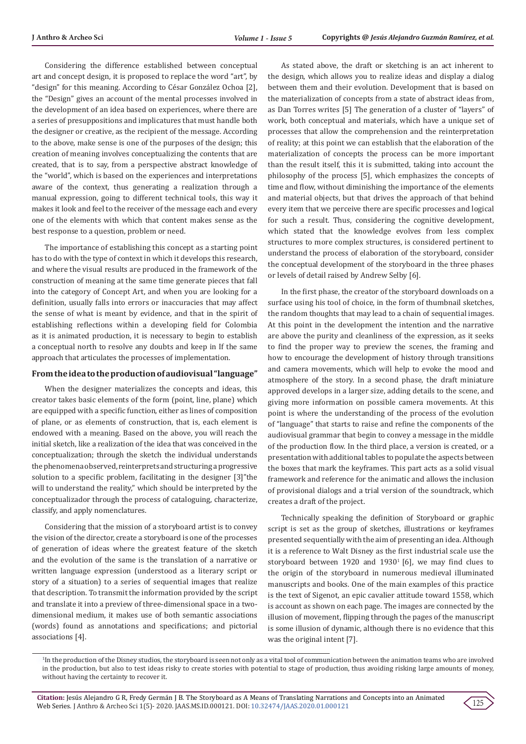Considering the difference established between conceptual art and concept design, it is proposed to replace the word "art", by "design" for this meaning. According to César González Ochoa [2], the "Design" gives an account of the mental processes involved in the development of an idea based on experiences, where there are a series of presuppositions and implicatures that must handle both the designer or creative, as the recipient of the message. According to the above, make sense is one of the purposes of the design; this creation of meaning involves conceptualizing the contents that are created, that is to say, from a perspective abstract knowledge of the "world", which is based on the experiences and interpretations aware of the context, thus generating a realization through a manual expression, going to different technical tools, this way it makes it look and feel to the receiver of the message each and every one of the elements with which that content makes sense as the best response to a question, problem or need.

The importance of establishing this concept as a starting point has to do with the type of context in which it develops this research, and where the visual results are produced in the framework of the construction of meaning at the same time generate pieces that fall into the category of Concept Art, and when you are looking for a definition, usually falls into errors or inaccuracies that may affect the sense of what is meant by evidence, and that in the spirit of establishing reflections within a developing field for Colombia as it is animated production, it is necessary to begin to establish a conceptual north to resolve any doubts and keep in If the same approach that articulates the processes of implementation.

#### **From the idea to the production of audiovisual "language"**

When the designer materializes the concepts and ideas, this creator takes basic elements of the form (point, line, plane) which are equipped with a specific function, either as lines of composition of plane, or as elements of construction, that is, each element is endowed with a meaning. Based on the above, you will reach the initial sketch, like a realization of the idea that was conceived in the conceptualization; through the sketch the individual understands the phenomena observed, reinterprets and structuring a progressive solution to a specific problem, facilitating in the designer [3]"the will to understand the reality," which should be interpreted by the conceptualizador through the process of cataloguing, characterize, classify, and apply nomenclatures.

Considering that the mission of a storyboard artist is to convey the vision of the director, create a storyboard is one of the processes of generation of ideas where the greatest feature of the sketch and the evolution of the same is the translation of a narrative or written language expression (understood as a literary script or story of a situation) to a series of sequential images that realize that description. To transmit the information provided by the script and translate it into a preview of three-dimensional space in a twodimensional medium, it makes use of both semantic associations (words) found as annotations and specifications; and pictorial associations [4].

As stated above, the draft or sketching is an act inherent to the design, which allows you to realize ideas and display a dialog between them and their evolution. Development that is based on the materialization of concepts from a state of abstract ideas from, as Dan Torres writes [5] The generation of a cluster of "layers" of work, both conceptual and materials, which have a unique set of processes that allow the comprehension and the reinterpretation of reality; at this point we can establish that the elaboration of the materialization of concepts the process can be more important than the result itself, this it is submitted, taking into account the philosophy of the process [5], which emphasizes the concepts of time and flow, without diminishing the importance of the elements and material objects, but that drives the approach of that behind every item that we perceive there are specific processes and logical for such a result. Thus, considering the cognitive development, which stated that the knowledge evolves from less complex structures to more complex structures, is considered pertinent to understand the process of elaboration of the storyboard, consider the conceptual development of the storyboard in the three phases or levels of detail raised by Andrew Selby [6].

In the first phase, the creator of the storyboard downloads on a surface using his tool of choice, in the form of thumbnail sketches, the random thoughts that may lead to a chain of sequential images. At this point in the development the intention and the narrative are above the purity and cleanliness of the expression, as it seeks to find the proper way to preview the scenes, the framing and how to encourage the development of history through transitions and camera movements, which will help to evoke the mood and atmosphere of the story. In a second phase, the draft miniature approved develops in a larger size, adding details to the scene, and giving more information on possible camera movements. At this point is where the understanding of the process of the evolution of "language" that starts to raise and refine the components of the audiovisual grammar that begin to convey a message in the middle of the production flow. In the third place, a version is created, or a presentation with additional tables to populate the aspects between the boxes that mark the keyframes. This part acts as a solid visual framework and reference for the animatic and allows the inclusion of provisional dialogs and a trial version of the soundtrack, which creates a draft of the project.

Technically speaking the definition of Storyboard or graphic script is set as the group of sketches, illustrations or keyframes presented sequentially with the aim of presenting an idea. Although it is a reference to Walt Disney as the first industrial scale use the storyboard between 1920 and 1930 $^1$  [6], we may find clues to the origin of the storyboard in numerous medieval illuminated manuscripts and books. One of the main examples of this practice is the text of Sigenot, an epic cavalier attitude toward 1558, which is account as shown on each page. The images are connected by the illusion of movement, flipping through the pages of the manuscript is some illusion of dynamic, although there is no evidence that this was the original intent [7].



<sup>1</sup> In the production of the Disney studios, the storyboard is seen not only as a vital tool of communication between the animation teams who are involved in the production, but also to test ideas risky to create stories with potential to stage of production, thus avoiding risking large amounts of money, without having the certainty to recover it.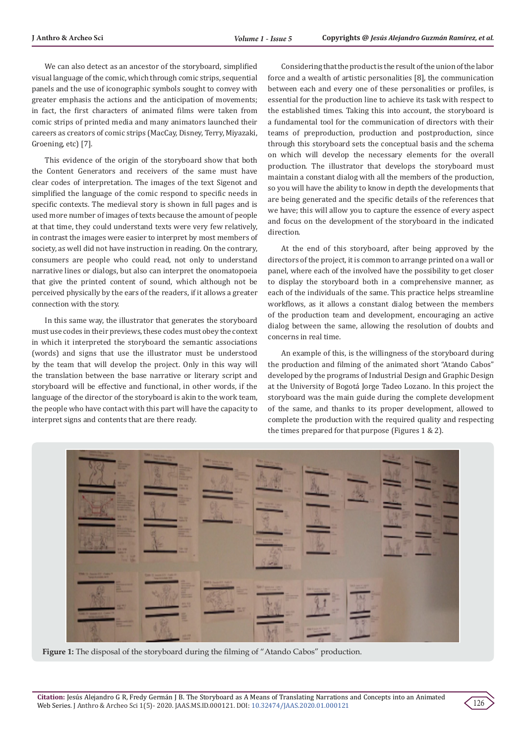We can also detect as an ancestor of the storyboard, simplified visual language of the comic, which through comic strips, sequential panels and the use of iconographic symbols sought to convey with greater emphasis the actions and the anticipation of movements; in fact, the first characters of animated films were taken from comic strips of printed media and many animators launched their careers as creators of comic strips (MacCay, Disney, Terry, Miyazaki, Groening, etc) [7].

This evidence of the origin of the storyboard show that both the Content Generators and receivers of the same must have clear codes of interpretation. The images of the text Sigenot and simplified the language of the comic respond to specific needs in specific contexts. The medieval story is shown in full pages and is used more number of images of texts because the amount of people at that time, they could understand texts were very few relatively, in contrast the images were easier to interpret by most members of society, as well did not have instruction in reading. On the contrary, consumers are people who could read, not only to understand narrative lines or dialogs, but also can interpret the onomatopoeia that give the printed content of sound, which although not be perceived physically by the ears of the readers, if it allows a greater connection with the story.

In this same way, the illustrator that generates the storyboard must use codes in their previews, these codes must obey the context in which it interpreted the storyboard the semantic associations (words) and signs that use the illustrator must be understood by the team that will develop the project. Only in this way will the translation between the base narrative or literary script and storyboard will be effective and functional, in other words, if the language of the director of the storyboard is akin to the work team, the people who have contact with this part will have the capacity to interpret signs and contents that are there ready.

Considering that the product is the result of the union of the labor force and a wealth of artistic personalities [8], the communication between each and every one of these personalities or profiles, is essential for the production line to achieve its task with respect to the established times. Taking this into account, the storyboard is a fundamental tool for the communication of directors with their teams of preproduction, production and postproduction, since through this storyboard sets the conceptual basis and the schema on which will develop the necessary elements for the overall production. The illustrator that develops the storyboard must maintain a constant dialog with all the members of the production, so you will have the ability to know in depth the developments that are being generated and the specific details of the references that we have; this will allow you to capture the essence of every aspect and focus on the development of the storyboard in the indicated direction.

At the end of this storyboard, after being approved by the directors of the project, it is common to arrange printed on a wall or panel, where each of the involved have the possibility to get closer to display the storyboard both in a comprehensive manner, as each of the individuals of the same. This practice helps streamline workflows, as it allows a constant dialog between the members of the production team and development, encouraging an active dialog between the same, allowing the resolution of doubts and concerns in real time.

An example of this, is the willingness of the storyboard during the production and filming of the animated short "Atando Cabos" developed by the programs of Industrial Design and Graphic Design at the University of Bogotá Jorge Tadeo Lozano. In this project the storyboard was the main guide during the complete development of the same, and thanks to its proper development, allowed to complete the production with the required quality and respecting the times prepared for that purpose (Figures 1 & 2).



Figure 1: The disposal of the storyboard during the filming of "Atando Cabos" production.

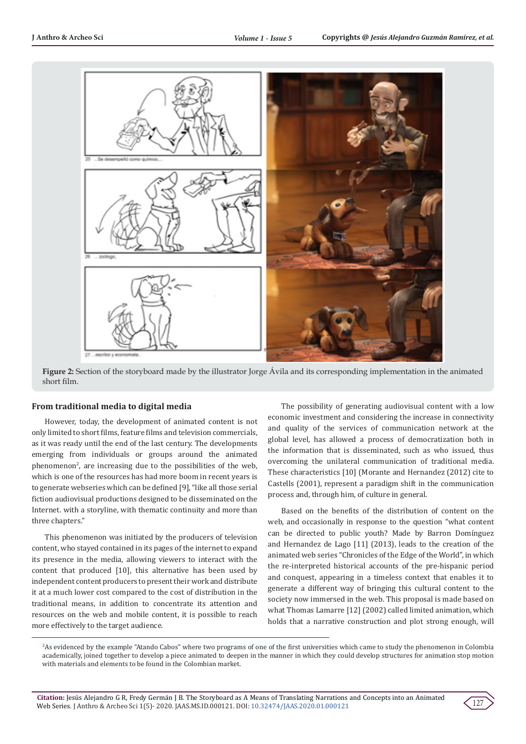

**Figure 2:** Section of the storyboard made by the illustrator Jorge Ávila and its corresponding implementation in the animated short film.

#### **From traditional media to digital media**

However, today, the development of animated content is not only limited to short films, feature films and television commercials, as it was ready until the end of the last century. The developments emerging from individuals or groups around the animated phenomenon<sup>2</sup>, are increasing due to the possibilities of the web, which is one of the resources has had more boom in recent years is to generate webseries which can be defined [9], "like all those serial fiction audiovisual productions designed to be disseminated on the Internet. with a storyline, with thematic continuity and more than three chapters."

This phenomenon was initiated by the producers of television content, who stayed contained in its pages of the internet to expand its presence in the media, allowing viewers to interact with the content that produced [10], this alternative has been used by independent content producers to present their work and distribute it at a much lower cost compared to the cost of distribution in the traditional means, in addition to concentrate its attention and resources on the web and mobile content, it is possible to reach more effectively to the target audience.

The possibility of generating audiovisual content with a low economic investment and considering the increase in connectivity and quality of the services of communication network at the global level, has allowed a process of democratization both in the information that is disseminated, such as who issued, thus overcoming the unilateral communication of traditional media. These characteristics [10] (Morante and Hernandez (2012) cite to Castells (2001), represent a paradigm shift in the communication process and, through him, of culture in general.

Based on the benefits of the distribution of content on the web, and occasionally in response to the question "what content can be directed to public youth? Made by Barron Domínguez and Hernandez de Lago [11] (2013), leads to the creation of the animated web series "Chronicles of the Edge of the World", in which the re-interpreted historical accounts of the pre-hispanic period and conquest, appearing in a timeless context that enables it to generate a different way of bringing this cultural content to the society now immersed in the web. This proposal is made based on what Thomas Lamarre [12] (2002) called limited animation, which holds that a narrative construction and plot strong enough, will



<sup>2</sup> As evidenced by the example "Atando Cabos" where two programs of one of the first universities which came to study the phenomenon in Colombia academically, joined together to develop a piece animated to deepen in the manner in which they could develop structures for animation stop motion with materials and elements to be found in the Colombian market.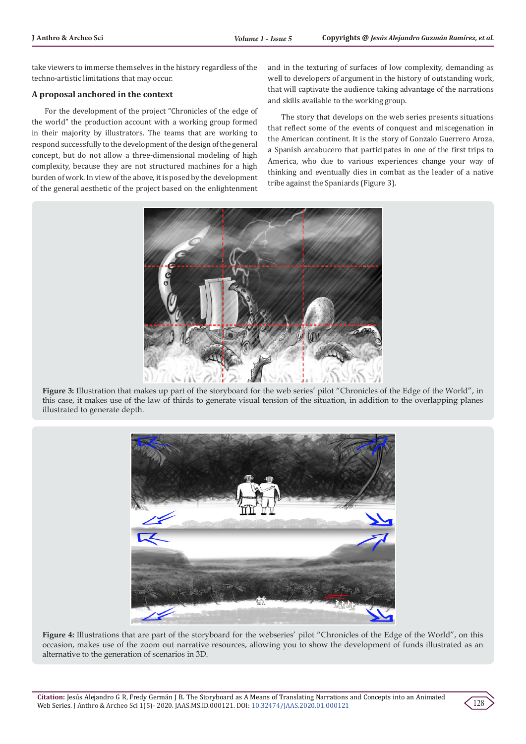take viewers to immerse themselves in the history regardless of the techno-artistic limitations that may occur.

### **A proposal anchored in the context**

For the development of the project "Chronicles of the edge of the world" the production account with a working group formed in their majority by illustrators. The teams that are working to respond successfully to the development of the design of the general concept, but do not allow a three-dimensional modeling of high complexity, because they are not structured machines for a high burden of work. In view of the above, it is posed by the development of the general aesthetic of the project based on the enlightenment and in the texturing of surfaces of low complexity, demanding as well to developers of argument in the history of outstanding work, that will captivate the audience taking advantage of the narrations and skills available to the working group.

The story that develops on the web series presents situations that reflect some of the events of conquest and miscegenation in the American continent. It is the story of Gonzalo Guerrero Aroza, a Spanish arcabucero that participates in one of the first trips to America, who due to various experiences change your way of thinking and eventually dies in combat as the leader of a native tribe against the Spaniards (Figure 3).



**Figure 3:** Illustration that makes up part of the storyboard for the web series' pilot "Chronicles of the Edge of the World", in this case, it makes use of the law of thirds to generate visual tension of the situation, in addition to the overlapping planes illustrated to generate depth.



**Figure 4:** Illustrations that are part of the storyboard for the webseries' pilot "Chronicles of the Edge of the World", on this occasion, makes use of the zoom out narrative resources, allowing you to show the development of funds illustrated as an alternative to the generation of scenarios in 3D.

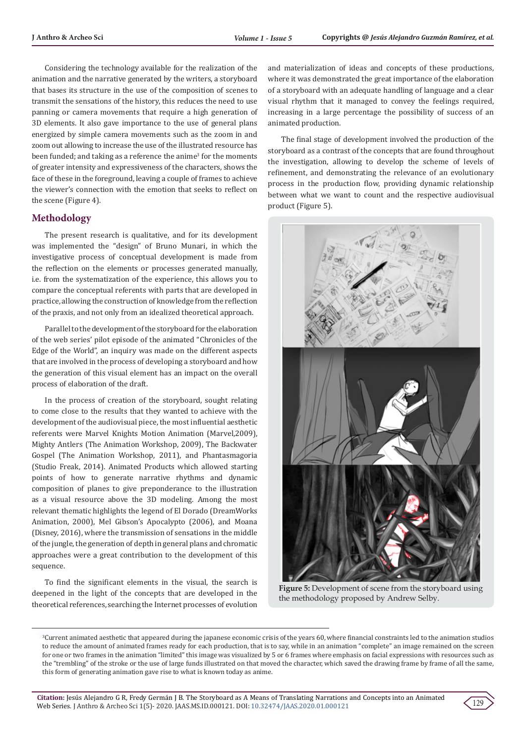Considering the technology available for the realization of the animation and the narrative generated by the writers, a storyboard that bases its structure in the use of the composition of scenes to transmit the sensations of the history, this reduces the need to use panning or camera movements that require a high generation of 3D elements. It also gave importance to the use of general plans energized by simple camera movements such as the zoom in and zoom out allowing to increase the use of the illustrated resource has been funded; and taking as a reference the anime<sup>3</sup> for the moments of greater intensity and expressiveness of the characters, shows the face of these in the foreground, leaving a couple of frames to achieve the viewer's connection with the emotion that seeks to reflect on the scene (Figure 4).

## **Methodology**

The present research is qualitative, and for its development was implemented the "design" of Bruno Munari, in which the investigative process of conceptual development is made from the reflection on the elements or processes generated manually, i.e. from the systematization of the experience, this allows you to compare the conceptual referents with parts that are developed in practice, allowing the construction of knowledge from the reflection of the praxis, and not only from an idealized theoretical approach.

Parallel to the development of the storyboard for the elaboration of the web series' pilot episode of the animated "Chronicles of the Edge of the World", an inquiry was made on the different aspects that are involved in the process of developing a storyboard and how the generation of this visual element has an impact on the overall process of elaboration of the draft.

In the process of creation of the storyboard, sought relating to come close to the results that they wanted to achieve with the development of the audiovisual piece, the most influential aesthetic referents were Marvel Knights Motion Animation (Marvel,2009), Mighty Antlers (The Animation Workshop, 2009), The Backwater Gospel (The Animation Workshop, 2011), and Phantasmagoria (Studio Freak, 2014). Animated Products which allowed starting points of how to generate narrative rhythms and dynamic composition of planes to give preponderance to the illustration as a visual resource above the 3D modeling. Among the most relevant thematic highlights the legend of El Dorado (DreamWorks Animation, 2000), Mel Gibson's Apocalypto (2006), and Moana (Disney, 2016), where the transmission of sensations in the middle of the jungle, the generation of depth in general plans and chromatic approaches were a great contribution to the development of this sequence.

To find the significant elements in the visual, the search is deepened in the light of the concepts that are developed in the theoretical references, searching the Internet processes of evolution

and materialization of ideas and concepts of these productions, where it was demonstrated the great importance of the elaboration of a storyboard with an adequate handling of language and a clear visual rhythm that it managed to convey the feelings required, increasing in a large percentage the possibility of success of an animated production.

The final stage of development involved the production of the storyboard as a contrast of the concepts that are found throughout the investigation, allowing to develop the scheme of levels of refinement, and demonstrating the relevance of an evolutionary process in the production flow, providing dynamic relationship between what we want to count and the respective audiovisual product (Figure 5).



**Figure 5:** Development of scene from the storyboard using the methodology proposed by Andrew Selby.



<sup>3</sup> Current animated aesthetic that appeared during the japanese economic crisis of the years 60, where financial constraints led to the animation studios to reduce the amount of animated frames ready for each production, that is to say, while in an animation "complete" an image remained on the screen for one or two frames in the animation "limited" this image was visualized by 5 or 6 frames where emphasis on facial expressions with resources such as the "trembling" of the stroke or the use of large funds illustrated on that moved the character, which saved the drawing frame by frame of all the same, this form of generating animation gave rise to what is known today as anime.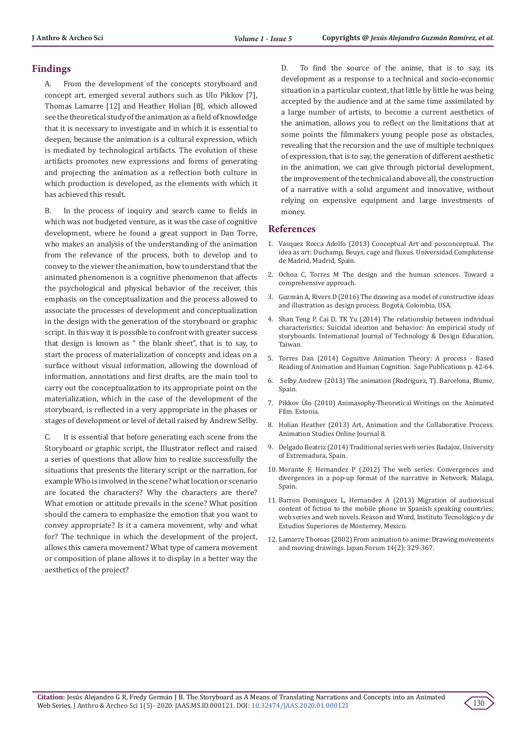## **Findings**

A. From the development of the concepts storyboard and concept art, emerged several authors such as Ulo Pikkov [7], Thomas Lamarre [12] and Heather Holian [8], which allowed see the theoretical study of the animation as a field of knowledge that it is necessary to investigate and in which it is essential to deepen, because the animation is a cultural expression, which is mediated by technological artifacts. The evolution of these artifacts promotes new expressions and forms of generating and projecting the animation as a reflection both culture in which production is developed, as the elements with which it has achieved this result.

B. In the process of inquiry and search came to fields in which was not budgeted venture, as it was the case of cognitive development, where he found a great support in Dan Torre, who makes an analysis of the understanding of the animation from the relevance of the process, both to develop and to convey to the viewer the animation, how to understand that the animated phenomenon is a cognitive phenomenon that affects the psychological and physical behavior of the receiver, this emphasis on the conceptualization and the process allowed to associate the processes of development and conceptualization in the design with the generation of the storyboard or graphic script. In this way it is possible to confront with greater success that design is known as " the blank sheet", that is to say, to start the process of materialization of concepts and ideas on a surface without visual information, allowing the download of information, annotations and first drafts, are the main tool to carry out the conceptualization to its appropriate point on the materialization, which in the case of the development of the storyboard, is reflected in a very appropriate in the phases or stages of development or level of detail raised by Andrew Selby.

C. It is essential that before generating each scene from the Storyboard or graphic script, the Illustrator reflect and raised a series of questions that allow him to realize successfully the situations that presents the literary script or the narration, for example Who is involved in the scene? what location or scenario are located the characters? Why the characters are there? What emotion or attitude prevails in the scene? What position should the camera to emphasize the emotion that you want to convey appropriate? Is it a camera movement, why and what for? The technique in which the development of the project, allows this camera movement? What type of camera movement or composition of plane allows it to display in a better way the aesthetics of the project?

D. To find the source of the anime, that is to say, its development as a response to a technical and socio-economic situation in a particular context, that little by little he was being accepted by the audience and at the same time assimilated by a large number of artists, to become a current aesthetics of the animation, allows you to reflect on the limitations that at some points the filmmakers young people pose as obstacles, revealing that the recursion and the use of multiple techniques of expression, that is to say, the generation of different aesthetic in the animation, we can give through pictorial development, the improvement of the technical and above all, the construction of a narrative with a solid argument and innovative, without relying on expensive equipment and large investments of money.

## **References**

- 1. [Vasquez Rocca Adolfo \(2013\) Conceptual Art and posconceptual. The](https://www.google.com/search?q=)+Conceptual+Art+and+posconceptual.+the+idea+as+art%3A+Duchamp%2C+Beuys%2C+cage+and+fluxus%3B+Universidad+Complutense+de+Madrid+and+nomads%2C+Magazine&oq=)++Conceptual+Art+and+posconceptual.+the+idea+as+art%3A+Duchamp%2C+Beuys%2C+cage+and+fluxus%3B+Universidad+Complutense+de+Madrid+and+nomads%2C+Magazine&aqs=chrome..69i57.1081j0j7&sourceid=chrome&ie=UTF-8) [idea as art: Duchamp, Beuys, cage and fluxus. Universidad Complutense](https://www.google.com/search?q=)+Conceptual+Art+and+posconceptual.+the+idea+as+art%3A+Duchamp%2C+Beuys%2C+cage+and+fluxus%3B+Universidad+Complutense+de+Madrid+and+nomads%2C+Magazine&oq=)++Conceptual+Art+and+posconceptual.+the+idea+as+art%3A+Duchamp%2C+Beuys%2C+cage+and+fluxus%3B+Universidad+Complutense+de+Madrid+and+nomads%2C+Magazine&aqs=chrome..69i57.1081j0j7&sourceid=chrome&ie=UTF-8) [de Madrid, Madrid, Spain.](https://www.google.com/search?q=)+Conceptual+Art+and+posconceptual.+the+idea+as+art%3A+Duchamp%2C+Beuys%2C+cage+and+fluxus%3B+Universidad+Complutense+de+Madrid+and+nomads%2C+Magazine&oq=)++Conceptual+Art+and+posconceptual.+the+idea+as+art%3A+Duchamp%2C+Beuys%2C+cage+and+fluxus%3B+Universidad+Complutense+de+Madrid+and+nomads%2C+Magazine&aqs=chrome..69i57.1081j0j7&sourceid=chrome&ie=UTF-8)
- 2. Ochoa C, Torres M The design and the human sciences. Toward a comprehensive approach.
- 3. Guzmán A, Rivers D (2016) The drawing as a model of constructive ideas and illustration as design process. Bogotá, Colombia, USA.
- 4. Shan Teng P, Cai D, TK Yu (2014) The relationship between individual characteristics: Suicidal ideation and behavior: An empirical study of storyboards. International Journal of Technology & Design Education, Taiwan.
- 5. [Torres Dan \(2014\) Cognitive Animation Theory: A process Based](https://researchbank.rmit.edu.au/view/rmit:24474) [Reading of Animation and Human Cognition. Sage Publications p. 42-64.](https://researchbank.rmit.edu.au/view/rmit:24474)
- 6. Selby Andrew (2013) The animation (Rodríguez, T). Barcelona, Blume, Spain.
- 7. Pikkov Ü[lo \(2010\) Animasophy-Theoretical Writings on the Animated](https://www.academia.edu/1125873/Animasophy._Theoretical_writings_on_the_animated_film) [Film. Estonia.](https://www.academia.edu/1125873/Animasophy._Theoretical_writings_on_the_animated_film)
- 8. [Holian Heather \(2013\) Art, Animation and the Collaborative Process.](https://journal.animationstudies.org/heather-holian-art-animation-and-the-collaborative-process/) [Animation Studies Online Journal 8.](https://journal.animationstudies.org/heather-holian-art-animation-and-the-collaborative-process/)
- 9. Delgado Beatriz (2014) Traditional series web series Badajoz. University of Extremadura, Spain.
- 10. Morante F, Hernandez P (2012) The web series: Convergences and divergences in a pop-up format of the narrative in Network. Malaga, Spain.
- 11. Barron Dominguez L, Hernandez A (2013) Migration of audiovisual content of fiction to the mobile phone in Spanish speaking countries; web series and web novels. Reason and Word, Instituto Tecnológico y de Estudios Superiores de Monterrey, Mexico.
- 12. [Lamarre Thomas \(2002\) From animation to anime: Drawing movements](https://www.tandfonline.com/doi/abs/10.1080/09555800220136400?journalCode=rjfo20) [and moving drawings. Japan Forum 14\(2\): 329-367.](https://www.tandfonline.com/doi/abs/10.1080/09555800220136400?journalCode=rjfo20)